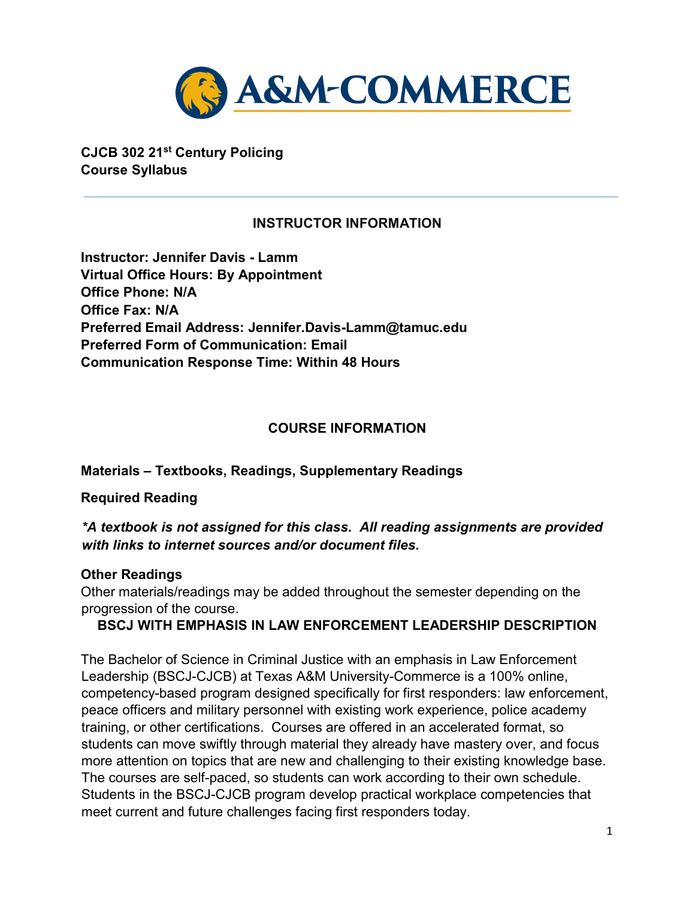

**CJCB 302 21st Century Policing Course Syllabus**

## **INSTRUCTOR INFORMATION**

**Instructor: Jennifer Davis - Lamm Virtual Office Hours: By Appointment Office Phone: N/A Office Fax: N/A Preferred Email Address: Jennifer.Davis-Lamm@tamuc.edu Preferred Form of Communication: Email Communication Response Time: Within 48 Hours**

## **COURSE INFORMATION**

#### **Materials – Textbooks, Readings, Supplementary Readings**

#### **Required Reading**

#### *\*A textbook is not assigned for this class. All reading assignments are provided with links to internet sources and/or document files.*

#### **Other Readings**

Other materials/readings may be added throughout the semester depending on the progression of the course.

#### **BSCJ WITH EMPHASIS IN LAW ENFORCEMENT LEADERSHIP DESCRIPTION**

The Bachelor of Science in Criminal Justice with an emphasis in Law Enforcement Leadership (BSCJ-CJCB) at Texas A&M University-Commerce is a 100% online, competency-based program designed specifically for first responders: law enforcement, peace officers and military personnel with existing work experience, police academy training, or other certifications. Courses are offered in an accelerated format, so students can move swiftly through material they already have mastery over, and focus more attention on topics that are new and challenging to their existing knowledge base. The courses are self-paced, so students can work according to their own schedule. Students in the BSCJ-CJCB program develop practical workplace competencies that meet current and future challenges facing first responders today.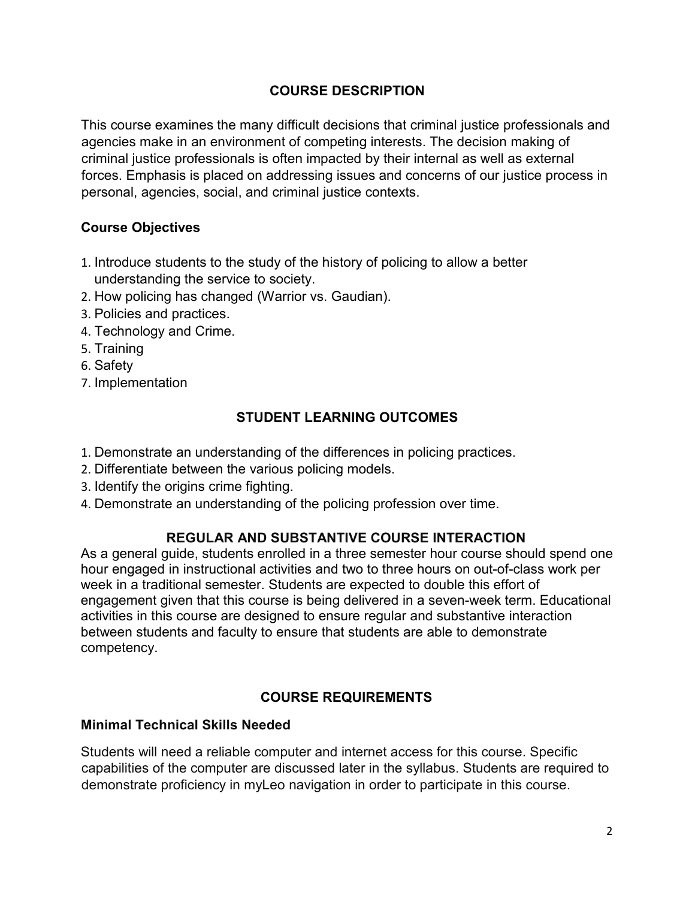## **[COURSE DESCRIPTION](http://catalog.tamuc.edu/undergrad/colleges-and-departments/college-of-innovation-design/baas-organizational-leadership/?_ga=2.81546143.928332977.1616426723-584154711.1595512675)**

This course examines the many difficult decisions that criminal justice professionals and agencies make in an environment of competing interests. The decision making of criminal justice professionals is often impacted by their internal as well as external forces. Emphasis is placed on addressing issues and concerns of our justice process in personal, agencies, social, and criminal justice contexts.

#### **Course Objectives**

- 1. Introduce students to the study of the history of policing to allow a better understanding the service to society.
- 2. How policing has changed (Warrior vs. Gaudian).
- 3. Policies and practices.
- 4. Technology and Crime.
- 5. Training
- 6. Safety
- 7. Implementation

## **STUDENT LEARNING OUTCOMES**

- 1. Demonstrate an understanding of the differences in policing practices.
- 2. Differentiate between the various policing models.
- 3. Identify the origins crime fighting.
- 4. Demonstrate an understanding of the policing profession over time.

## **REGULAR AND SUBSTANTIVE COURSE INTERACTION**

As a general guide, students enrolled in a three semester hour course should spend one hour engaged in instructional activities and two to three hours on out-of-class work per week in a traditional semester. Students are expected to double this effort of engagement given that this course is being delivered in a seven-week term. Educational activities in this course are designed to ensure regular and substantive interaction between students and faculty to ensure that students are able to demonstrate competency.

## **COURSE REQUIREMENTS**

#### **Minimal Technical Skills Needed**

Students will need a reliable computer and internet access for this course. Specific capabilities of the computer are discussed later in the syllabus. Students are required to demonstrate proficiency in myLeo navigation in order to participate in this course.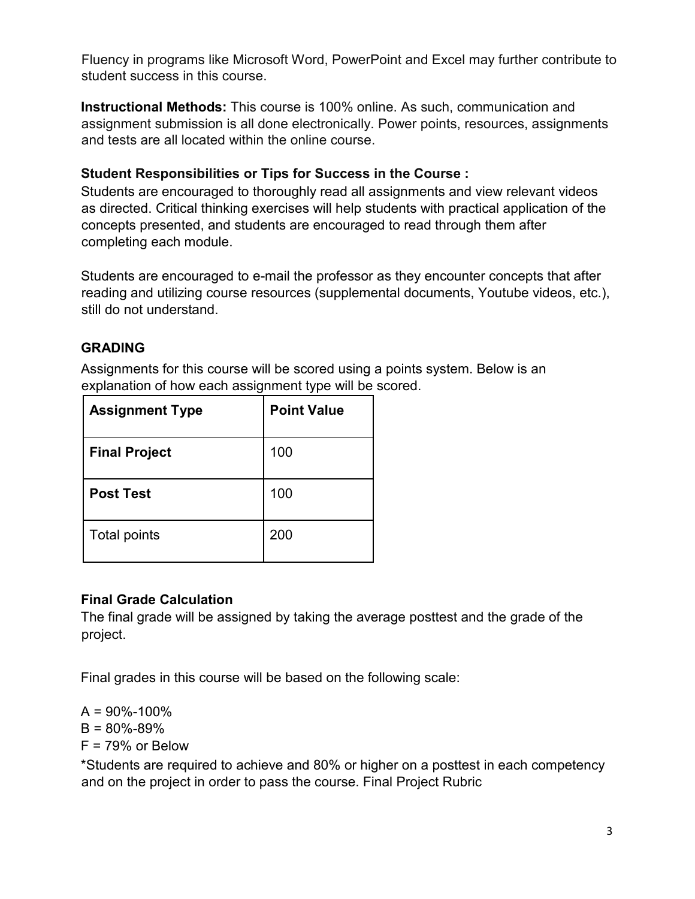Fluency in programs like Microsoft Word, PowerPoint and Excel may further contribute to student success in this course.

**Instructional Methods:** This course is 100% online. As such, communication and assignment submission is all done electronically. Power points, resources, assignments and tests are all located within the online course.

#### **Student Responsibilities or Tips for Success in the Course :**

Students are encouraged to thoroughly read all assignments and view relevant videos as directed. Critical thinking exercises will help students with practical application of the concepts presented, and students are encouraged to read through them after completing each module.

Students are encouraged to e-mail the professor as they encounter concepts that after reading and utilizing course resources (supplemental documents, Youtube videos, etc.), still do not understand.

## **GRADING**

Assignments for this course will be scored using a points system. Below is an explanation of how each assignment type will be scored.

| <b>Assignment Type</b> | <b>Point Value</b> |
|------------------------|--------------------|
| <b>Final Project</b>   | 100                |
| <b>Post Test</b>       | 100                |
| <b>Total points</b>    | 200                |

## **Final Grade Calculation**

The final grade will be assigned by taking the average posttest and the grade of the project.

Final grades in this course will be based on the following scale:

 $A = 90\% - 100\%$  $B = 80\% - 89\%$  $F = 79\%$  or Below

\*Students are required to achieve and 80% or higher on a posttest in each competency and on the project in order to pass the course. Final Project Rubric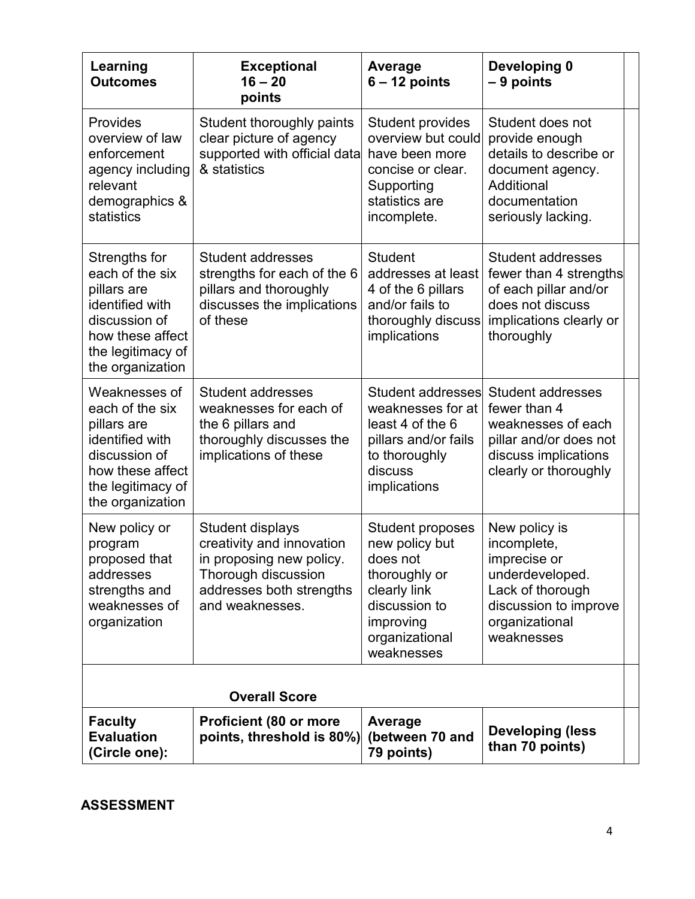| Learning<br><b>Outcomes</b>                                                                                                                      | <b>Exceptional</b><br>$16 - 20$<br>points                                                                                                       | Average<br>$6 - 12$ points                                                                                                                           | Developing 0<br>$-9$ points                                                                                                                  |  |
|--------------------------------------------------------------------------------------------------------------------------------------------------|-------------------------------------------------------------------------------------------------------------------------------------------------|------------------------------------------------------------------------------------------------------------------------------------------------------|----------------------------------------------------------------------------------------------------------------------------------------------|--|
| <b>Provides</b><br>overview of law<br>enforcement<br>agency including<br>relevant<br>demographics &<br>statistics                                | Student thoroughly paints<br>clear picture of agency<br>supported with official data<br>& statistics                                            | <b>Student provides</b><br>overview but could<br>have been more<br>concise or clear.<br>Supporting<br>statistics are<br>incomplete.                  | Student does not<br>provide enough<br>details to describe or<br>document agency.<br>Additional<br>documentation<br>seriously lacking.        |  |
| Strengths for<br>each of the six<br>pillars are<br>identified with<br>discussion of<br>how these affect<br>the legitimacy of<br>the organization | <b>Student addresses</b><br>strengths for each of the 6<br>pillars and thoroughly<br>discusses the implications<br>of these                     | <b>Student</b><br>addresses at least<br>4 of the 6 pillars<br>and/or fails to<br>thoroughly discuss<br>implications                                  | Student addresses<br>fewer than 4 strengths<br>of each pillar and/or<br>does not discuss<br>implications clearly or<br>thoroughly            |  |
| Weaknesses of<br>each of the six<br>pillars are<br>identified with<br>discussion of<br>how these affect<br>the legitimacy of<br>the organization | <b>Student addresses</b><br>weaknesses for each of<br>the 6 pillars and<br>thoroughly discusses the<br>implications of these                    | Student addresses<br>weaknesses for at<br>least 4 of the 6<br>pillars and/or fails<br>to thoroughly<br>discuss<br>implications                       | <b>Student addresses</b><br>fewer than 4<br>weaknesses of each<br>pillar and/or does not<br>discuss implications<br>clearly or thoroughly    |  |
| New policy or<br>program<br>proposed that<br>addresses<br>strengths and<br>weaknesses of<br>organization                                         | Student displays<br>creativity and innovation<br>in proposing new policy.<br>Thorough discussion<br>addresses both strengths<br>and weaknesses. | <b>Student proposes</b><br>new policy but<br>does not<br>thoroughly or<br>clearly link<br>discussion to<br>improving<br>organizational<br>weaknesses | New policy is<br>incomplete,<br>imprecise or<br>underdeveloped.<br>Lack of thorough<br>discussion to improve<br>organizational<br>weaknesses |  |
|                                                                                                                                                  | <b>Overall Score</b>                                                                                                                            |                                                                                                                                                      |                                                                                                                                              |  |
| <b>Faculty</b><br><b>Evaluation</b><br>(Circle one):                                                                                             | <b>Proficient (80 or more</b><br>points, threshold is 80%)                                                                                      | Average<br>(between 70 and<br>79 points)                                                                                                             | <b>Developing (less</b><br>than 70 points)                                                                                                   |  |

#### **ASSESSMENT**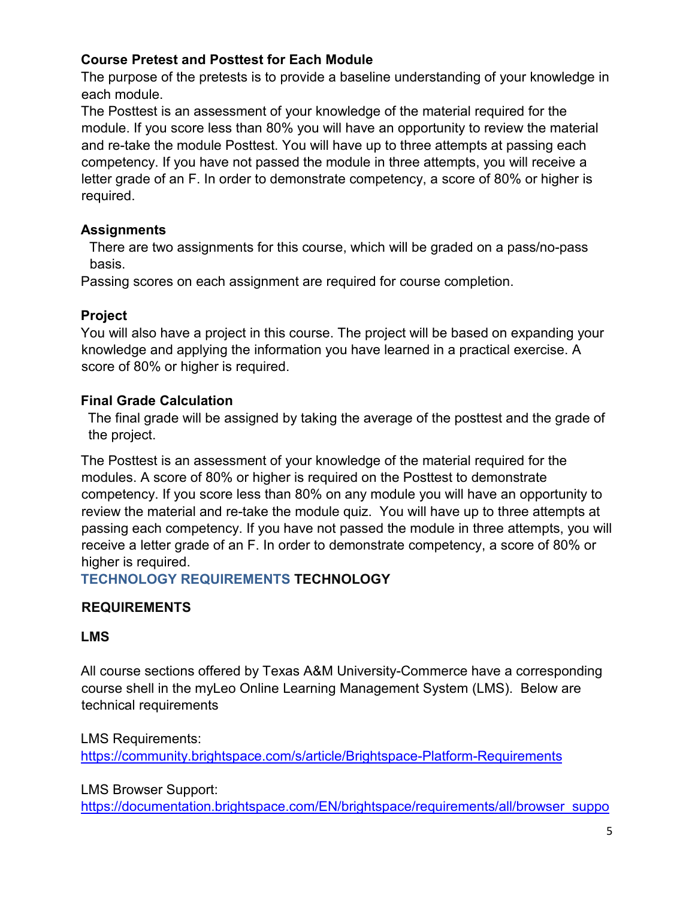## **Course Pretest and Posttest for Each Module**

The purpose of the pretests is to provide a baseline understanding of your knowledge in each module.

The Posttest is an assessment of your knowledge of the material required for the module. If you score less than 80% you will have an opportunity to review the material and re-take the module Posttest. You will have up to three attempts at passing each competency. If you have not passed the module in three attempts, you will receive a letter grade of an F. In order to demonstrate competency, a score of 80% or higher is required.

#### **Assignments**

There are two assignments for this course, which will be graded on a pass/no-pass basis.

Passing scores on each assignment are required for course completion.

## **Project**

You will also have a project in this course. The project will be based on expanding your knowledge and applying the information you have learned in a practical exercise. A score of 80% or higher is required.

## **Final Grade Calculation**

The final grade will be assigned by taking the average of the posttest and the grade of the project.

The Posttest is an assessment of your knowledge of the material required for the modules. A score of 80% or higher is required on the Posttest to demonstrate competency. If you score less than 80% on any module you will have an opportunity to review the material and re-take the module quiz. You will have up to three attempts at passing each competency. If you have not passed the module in three attempts, you will receive a letter grade of an F. In order to demonstrate competency, a score of 80% or higher is required.

#### **TECHNOLOGY REQUIREMENTS TECHNOLOGY**

## **REQUIREMENTS**

#### **LMS**

All course sections offered by Texas A&M University-Commerce have a corresponding course shell in the myLeo Online Learning Management System (LMS). Below are technical requirements

LMS Requirements: <https://community.brightspace.com/s/article/Brightspace-Platform-Requirements>

LMS Browser Support:

[https://documentation.brightspace.com/EN/brightspace/requirements/all/browser\\_suppo](https://documentation.brightspace.com/EN/brightspace/requirements/all/browser_support.htm)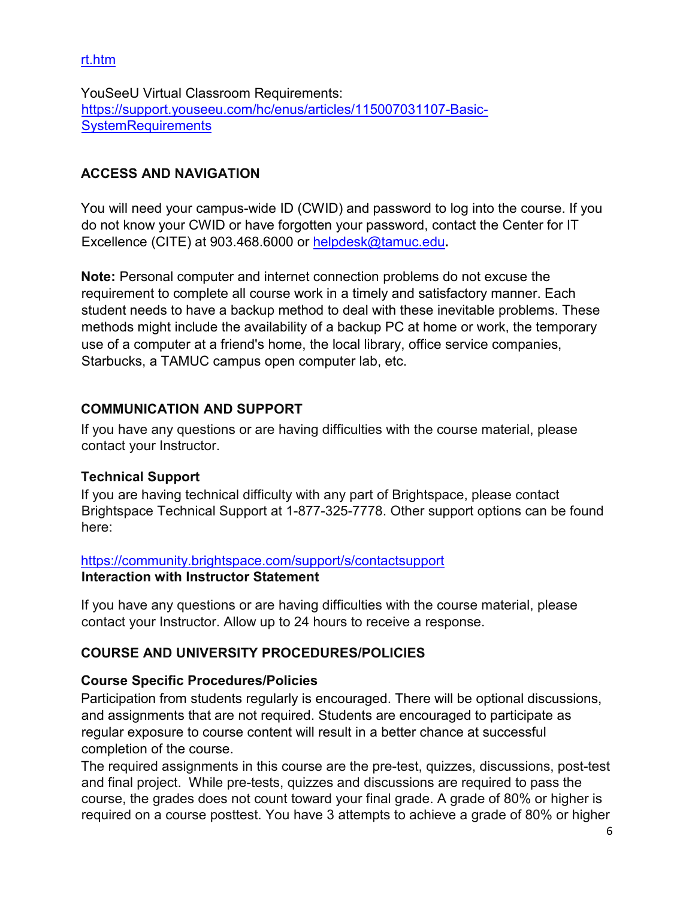[rt.htm](https://documentation.brightspace.com/EN/brightspace/requirements/all/browser_support.htm) 

YouSeeU Virtual Classroom Requirements: [https://support.youseeu.com/hc/enus/articles/115007031107-Basic-](https://support.youseeu.com/hc/en-us/articles/115007031107-Basic-System-Requirements)**SystemRequirements** 

## **ACCESS AND NAVIGATION**

You will need your campus-wide ID (CWID) and password to log into the course. If you do not know your CWID or have forgotten your password, contact the Center for IT Excellence (CITE) at 903.468.6000 or helpdesk@tamuc.edu**.**

**Note:** Personal computer and internet connection problems do not excuse the requirement to complete all course work in a timely and satisfactory manner. Each student needs to have a backup method to deal with these inevitable problems. These methods might include the availability of a backup PC at home or work, the temporary use of a computer at a friend's home, the local library, office service companies, Starbucks, a TAMUC campus open computer lab, etc.

#### **COMMUNICATION AND SUPPORT**

If you have any questions or are having difficulties with the course material, please contact your Instructor.

#### **Technical Support**

If you are having technical difficulty with any part of Brightspace, please contact Brightspace Technical Support at 1-877-325-7778. Other support options can be found here:

#### <https://community.brightspace.com/support/s/contactsupport> **Interaction with Instructor Statement**

If you have any questions or are having difficulties with the course material, please contact your Instructor. Allow up to 24 hours to receive a response.

## **COURSE AND UNIVERSITY PROCEDURES/POLICIES**

#### **Course Specific Procedures/Policies**

Participation from students regularly is encouraged. There will be optional discussions, and assignments that are not required. Students are encouraged to participate as regular exposure to course content will result in a better chance at successful completion of the course.

The required assignments in this course are the pre-test, quizzes, discussions, post-test and final project. While pre-tests, quizzes and discussions are required to pass the course, the grades does not count toward your final grade. A grade of 80% or higher is required on a course posttest. You have 3 attempts to achieve a grade of 80% or higher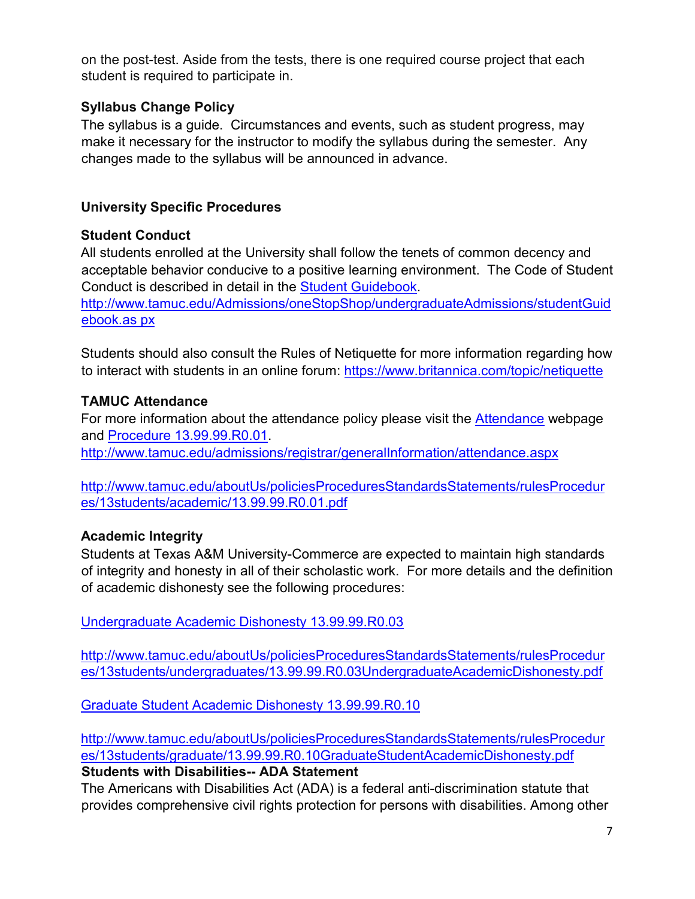on the post-test. Aside from the tests, there is one required course project that each student is required to participate in.

## **Syllabus Change Policy**

The syllabus is a guide. Circumstances and events, such as student progress, may make it necessary for the instructor to modify the syllabus during the semester. Any changes made to the syllabus will be announced in advance.

## **University Specific Procedures**

#### **Student Conduct**

All students enrolled at the University shall follow the tenets of common decency and acceptable behavior conducive to a positive learning environment. The Code of Student Conduct is described in detail in the [Student Guidebook.](http://www.tamuc.edu/Admissions/oneStopShop/undergraduateAdmissions/studentGuidebook.aspx) [http://www.tamuc.edu/Admissions/oneStopShop/undergraduateAdmissions/studentGuid](http://www.tamuc.edu/Admissions/oneStopShop/undergraduateAdmissions/studentGuidebook.aspx) 

[ebook.as](http://www.tamuc.edu/Admissions/oneStopShop/undergraduateAdmissions/studentGuidebook.aspx) [px](http://www.tamuc.edu/Admissions/oneStopShop/undergraduateAdmissions/studentGuidebook.aspx) 

Students should also consult the Rules of Netiquette for more information regarding how to interact with students in an online forum:<https://www.britannica.com/topic/netiquette>

## **TAMUC Attendance**

For more information about the attendance policy please visit the [Attendance](http://www.tamuc.edu/admissions/registrar/generalInformation/attendance.aspx) [we](http://www.tamuc.edu/admissions/registrar/generalInformation/attendance.aspx)bpage and [Procedure 13.99.99.R0.01.](http://www.tamuc.edu/aboutUs/policiesProceduresStandardsStatements/rulesProcedures/13students/academic/13.99.99.R0.01.pdf)

<http://www.tamuc.edu/admissions/registrar/generalInformation/attendance.aspx>

[http://www.tamuc.edu/aboutUs/policiesProceduresStandardsStatements/rulesProcedur](http://www.tamuc.edu/aboutUs/policiesProceduresStandardsStatements/rulesProcedures/13students/academic/13.99.99.R0.01.pdf) [es/13students/academic/13.99.99.R0.01.pdf](http://www.tamuc.edu/aboutUs/policiesProceduresStandardsStatements/rulesProcedures/13students/academic/13.99.99.R0.01.pdf) 

## **Academic Integrity**

Students at Texas A&M University-Commerce are expected to maintain high standards of integrity and honesty in all of their scholastic work. For more details and the definition of academic dishonesty see the following procedures:

[Undergraduate Academic Dishonesty 13.99.99.R0.03](http://www.tamuc.edu/aboutUs/policiesProceduresStandardsStatements/rulesProcedures/13students/undergraduates/13.99.99.R0.03UndergraduateAcademicDishonesty.pdf) 

[http://www.tamuc.edu/aboutUs/policiesProceduresStandardsStatements/rulesProcedur](http://www.tamuc.edu/aboutUs/policiesProceduresStandardsStatements/rulesProcedures/13students/undergraduates/13.99.99.R0.03UndergraduateAcademicDishonesty.pdf) [es/13students/undergraduates/13.99.99.R0.03UndergraduateAcademicDishonesty.pdf](http://www.tamuc.edu/aboutUs/policiesProceduresStandardsStatements/rulesProcedures/13students/undergraduates/13.99.99.R0.03UndergraduateAcademicDishonesty.pdf) 

[Graduate Student Academic Dishonesty 13.99.99.R0.10](http://www.tamuc.edu/aboutUs/policiesProceduresStandardsStatements/rulesProcedures/13students/graduate/13.99.99.R0.10GraduateStudentAcademicDishonesty.pdf) 

[http://www.tamuc.edu/aboutUs/policiesProceduresStandardsStatements/rulesProcedur](http://www.tamuc.edu/aboutUs/policiesProceduresStandardsStatements/rulesProcedures/13students/graduate/13.99.99.R0.10GraduateStudentAcademicDishonesty.pdf) [es/13students/graduate/13.99.99.R0.10GraduateStudentAcademicDishonesty.pdf](http://www.tamuc.edu/aboutUs/policiesProceduresStandardsStatements/rulesProcedures/13students/graduate/13.99.99.R0.10GraduateStudentAcademicDishonesty.pdf) 

## **Students with Disabilities-- ADA Statement**

The Americans with Disabilities Act (ADA) is a federal anti-discrimination statute that provides comprehensive civil rights protection for persons with disabilities. Among other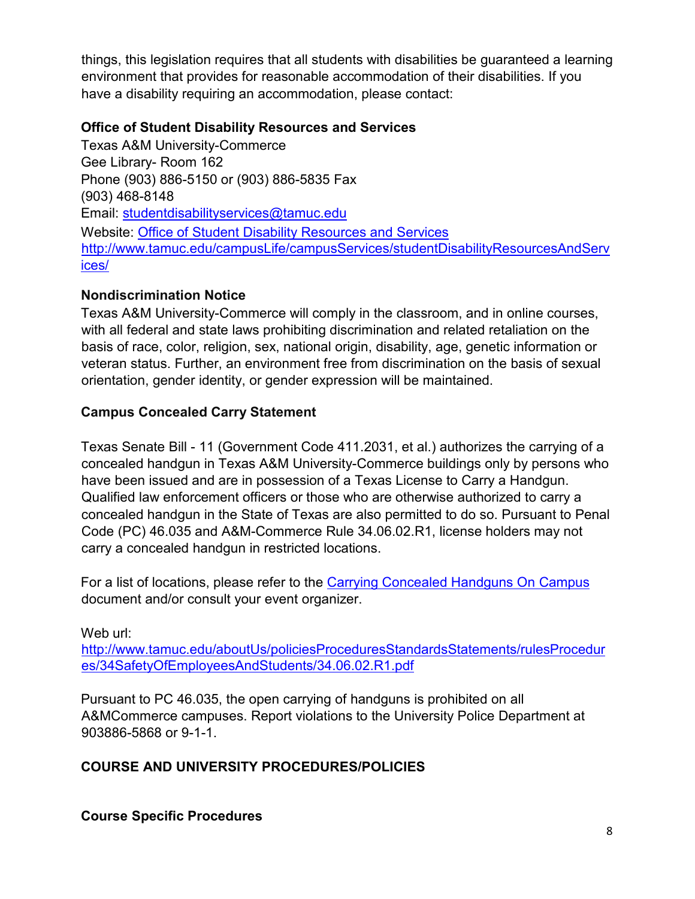things, this legislation requires that all students with disabilities be guaranteed a learning environment that provides for reasonable accommodation of their disabilities. If you have a disability requiring an accommodation, please contact:

#### **Office of Student Disability Resources and Services**

Texas A&M University-Commerce Gee Library- Room 162 Phone (903) 886-5150 or (903) 886-5835 Fax (903) 468-8148 Email: studentdisabilityservices@tamuc.edu Website: [Office of Student Disability Resources and Services](http://www.tamuc.edu/campusLife/campusServices/studentDisabilityResourcesAndServices/) [http://www.tamuc.edu/campusLife/campusServices/studentDisabilityResourcesAndServ](http://www.tamuc.edu/campusLife/campusServices/studentDisabilityResourcesAndServices/) [ices/](http://www.tamuc.edu/campusLife/campusServices/studentDisabilityResourcesAndServices/) 

## **Nondiscrimination Notice**

Texas A&M University-Commerce will comply in the classroom, and in online courses, with all federal and state laws prohibiting discrimination and related retaliation on the basis of race, color, religion, sex, national origin, disability, age, genetic information or veteran status. Further, an environment free from discrimination on the basis of sexual orientation, gender identity, or gender expression will be maintained.

## **Campus Concealed Carry Statement**

Texas Senate Bill - 11 (Government Code 411.2031, et al.) authorizes the carrying of a concealed handgun in Texas A&M University-Commerce buildings only by persons who have been issued and are in possession of a Texas License to Carry a Handgun. Qualified law enforcement officers or those who are otherwise authorized to carry a concealed handgun in the State of Texas are also permitted to do so. Pursuant to Penal Code (PC) 46.035 and A&M-Commerce Rule 34.06.02.R1, license holders may not carry a concealed handgun in restricted locations.

For a list of locations, please refer to the [Carrying Concealed Handguns On Campus](http://www.tamuc.edu/aboutUs/policiesProceduresStandardsStatements/rulesProcedures/34SafetyOfEmployeesAndStudents/34.06.02.R1.pdf)  document and/or consult your event organizer.

Web url: [http://www.tamuc.edu/aboutUs/policiesProceduresStandardsStatements/rulesProcedur](http://www.tamuc.edu/aboutUs/policiesProceduresStandardsStatements/rulesProcedures/34SafetyOfEmployeesAndStudents/34.06.02.R1.pdf) [es/34SafetyOfEmployeesAndStudents/34.06.02.R1.pdf](http://www.tamuc.edu/aboutUs/policiesProceduresStandardsStatements/rulesProcedures/34SafetyOfEmployeesAndStudents/34.06.02.R1.pdf) 

Pursuant to PC 46.035, the open carrying of handguns is prohibited on all A&MCommerce campuses. Report violations to the University Police Department at 903886-5868 or 9-1-1.

## **COURSE AND UNIVERSITY PROCEDURES/POLICIES**

#### **Course Specific Procedures**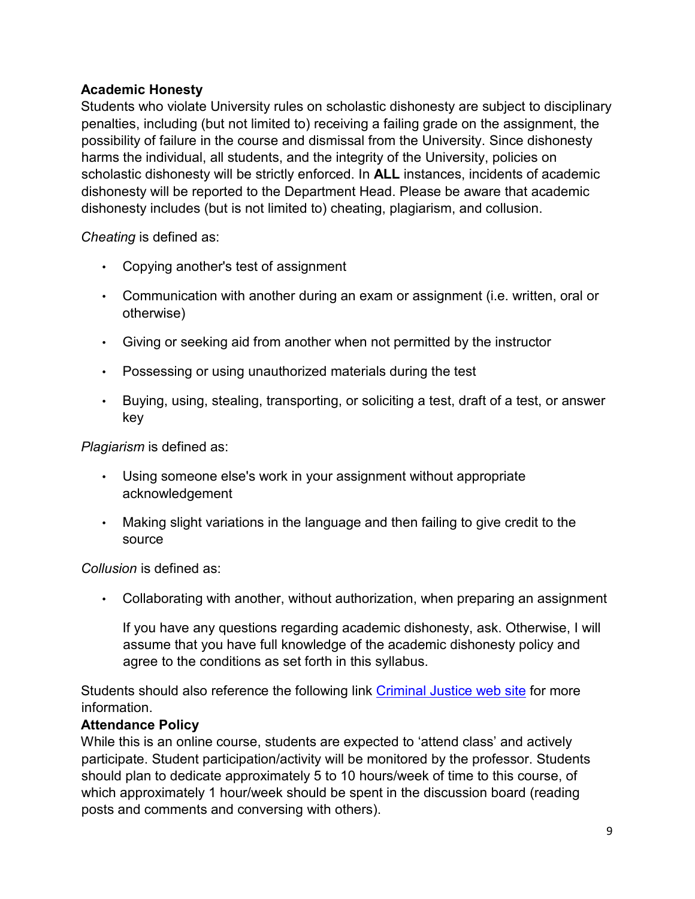## **Academic Honesty**

Students who violate University rules on scholastic dishonesty are subject to disciplinary penalties, including (but not limited to) receiving a failing grade on the assignment, the possibility of failure in the course and dismissal from the University. Since dishonesty harms the individual, all students, and the integrity of the University, policies on scholastic dishonesty will be strictly enforced. In **ALL** instances, incidents of academic dishonesty will be reported to the Department Head. Please be aware that academic dishonesty includes (but is not limited to) cheating, plagiarism, and collusion.

*Cheating* is defined as:

- Copying another's test of assignment
- Communication with another during an exam or assignment (i.e. written, oral or otherwise)
- Giving or seeking aid from another when not permitted by the instructor
- Possessing or using unauthorized materials during the test
- Buying, using, stealing, transporting, or soliciting a test, draft of a test, or answer key

*Plagiarism* is defined as:

- Using someone else's work in your assignment without appropriate acknowledgement
- Making slight variations in the language and then failing to give credit to the source

*Collusion* is defined as:

• Collaborating with another, without authorization, when preparing an assignment

If you have any questions regarding academic dishonesty, ask. Otherwise, I will assume that you have full knowledge of the academic dishonesty policy and agree to the conditions as set forth in this syllabus.

Students should also reference the following link [Criminal Justice web site](https://www.tamuc.edu/academics/colleges/humanitiesSocialSciencesArts/departments/sociologyCriminalJustice/undergraduatePrograms/criminalJustice.aspx) [fo](https://www.tamuc.edu/academics/colleges/humanitiesSocialSciencesArts/departments/sociologyCriminalJustice/undergraduatePrograms/criminalJustice.aspx)r more information.

#### **Attendance Policy**

While this is an online course, students are expected to 'attend class' and actively participate. Student participation/activity will be monitored by the professor. Students should plan to dedicate approximately 5 to 10 hours/week of time to this course, of which approximately 1 hour/week should be spent in the discussion board (reading posts and comments and conversing with others).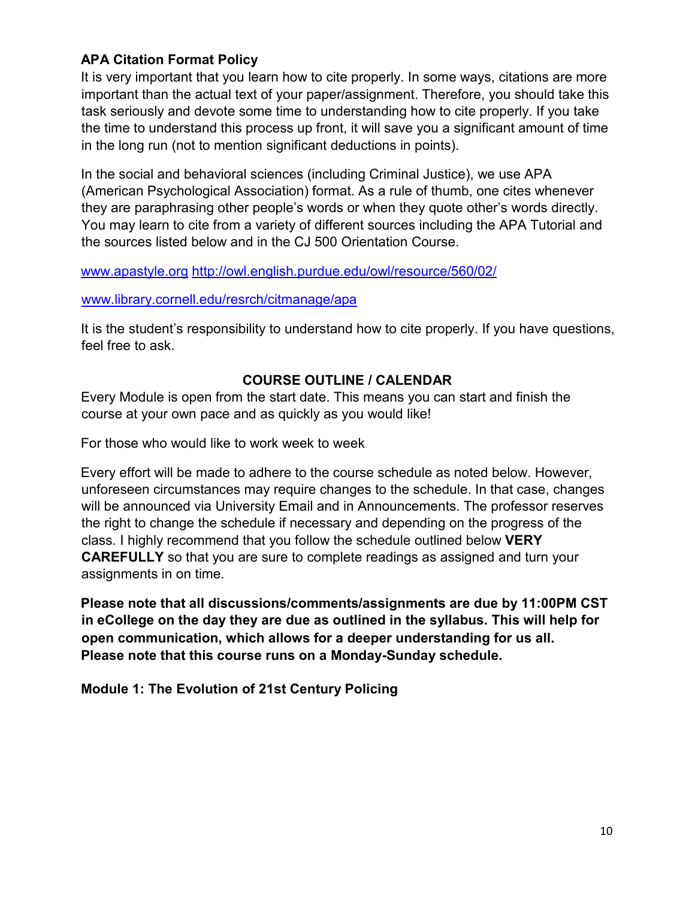#### **APA Citation Format Policy**

It is very important that you learn how to cite properly. In some ways, citations are more important than the actual text of your paper/assignment. Therefore, you should take this task seriously and devote some time to understanding how to cite properly. If you take the time to understand this process up front, it will save you a significant amount of time in the long run (not to mention significant deductions in points).

In the social and behavioral sciences (including Criminal Justice), we use APA (American Psychological Association) format. As a rule of thumb, one cites whenever they are paraphrasing other people's words or when they quote other's words directly. You may learn to cite from a variety of different sources including the APA Tutorial and the sources listed below and in the CJ 500 Orientation Course.

[www.apastyle.org](http://www.apastyle.org/) [http://owl.english.purdue.edu/owl/resource/560/02](http://www.apastyle.org/)[/](http://owl.english.purdue.edu/owl/resource/560/02/)

[www.library.cornell.edu/resrch/citmanage/apa](http://www.library.cornell.edu/resrch/citmanage/apa) 

It is the student's responsibility to understand how to cite properly. If you have questions, feel free to ask.

## **COURSE OUTLINE / CALENDAR**

Every Module is open from the start date. This means you can start and finish the course at your own pace and as quickly as you would like!

For those who would like to work week to week

Every effort will be made to adhere to the course schedule as noted below. However, unforeseen circumstances may require changes to the schedule. In that case, changes will be announced via University Email and in Announcements. The professor reserves the right to change the schedule if necessary and depending on the progress of the class. I highly recommend that you follow the schedule outlined below **VERY CAREFULLY** so that you are sure to complete readings as assigned and turn your assignments in on time.

**Please note that all discussions/comments/assignments are due by 11:00PM CST in eCollege on the day they are due as outlined in the syllabus. This will help for open communication, which allows for a deeper understanding for us all. Please note that this course runs on a Monday-Sunday schedule.**

**Module 1: The Evolution of 21st Century Policing**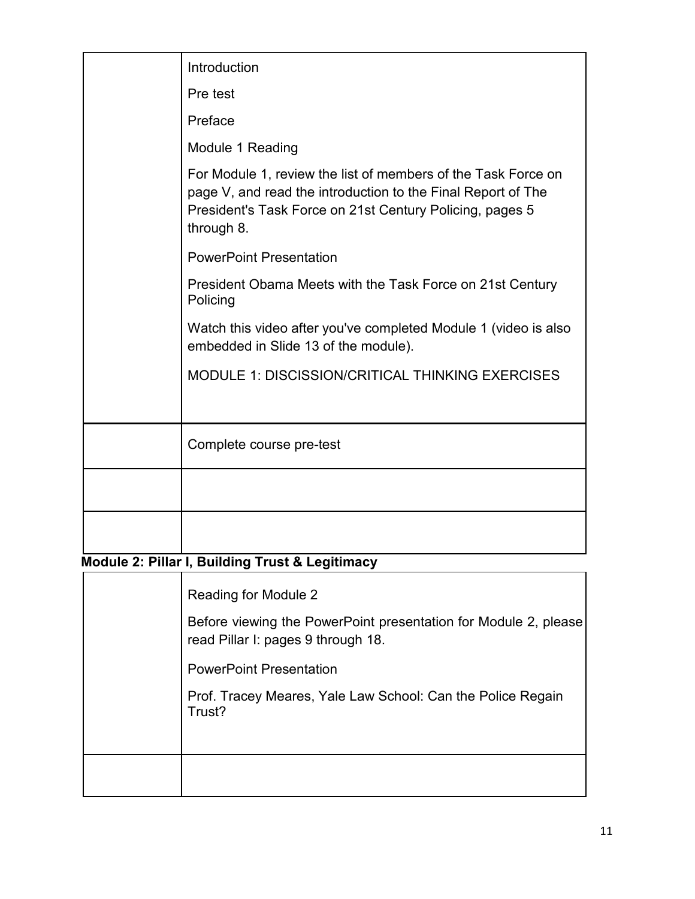| Introduction                                                                                                                                                                                            |
|---------------------------------------------------------------------------------------------------------------------------------------------------------------------------------------------------------|
| Pre test                                                                                                                                                                                                |
| Preface                                                                                                                                                                                                 |
| Module 1 Reading                                                                                                                                                                                        |
| For Module 1, review the list of members of the Task Force on<br>page V, and read the introduction to the Final Report of The<br>President's Task Force on 21st Century Policing, pages 5<br>through 8. |
| <b>PowerPoint Presentation</b>                                                                                                                                                                          |
| President Obama Meets with the Task Force on 21st Century<br>Policing                                                                                                                                   |
| Watch this video after you've completed Module 1 (video is also<br>embedded in Slide 13 of the module).                                                                                                 |
| MODULE 1: DISCISSION/CRITICAL THINKING EXERCISES                                                                                                                                                        |
|                                                                                                                                                                                                         |
| Complete course pre-test                                                                                                                                                                                |
|                                                                                                                                                                                                         |
|                                                                                                                                                                                                         |
| Module 2: Pillar I, Building Trust & Legitimacy                                                                                                                                                         |
| Reading for Module 2                                                                                                                                                                                    |
| Before viewing the PowerPoint presentation for Module 2, please<br>read Pillar I: pages 9 through 18.                                                                                                   |
| <b>PowerPoint Presentation</b>                                                                                                                                                                          |
| Prof. Tracey Meares, Yale Law School: Can the Police Regain<br>Trust?                                                                                                                                   |
|                                                                                                                                                                                                         |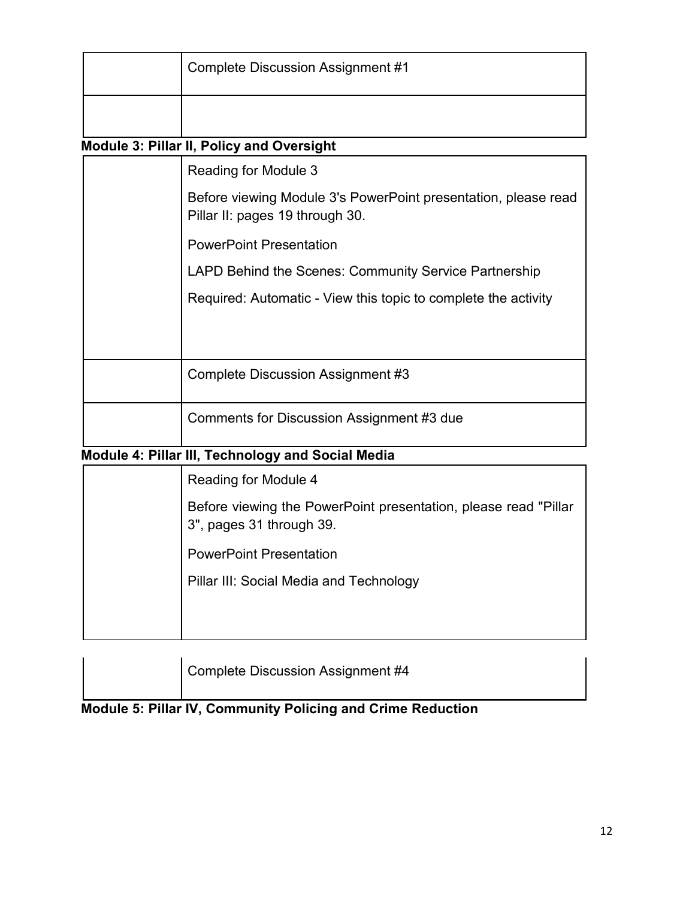| <b>Complete Discussion Assignment #1</b> |
|------------------------------------------|
|                                          |

## **Module 3: Pillar II, Policy and Oversight**

| Reading for Module 3                                                                              |
|---------------------------------------------------------------------------------------------------|
| Before viewing Module 3's PowerPoint presentation, please read<br>Pillar II: pages 19 through 30. |
| <b>PowerPoint Presentation</b>                                                                    |
| LAPD Behind the Scenes: Community Service Partnership                                             |
| Required: Automatic - View this topic to complete the activity                                    |
|                                                                                                   |
| <b>Complete Discussion Assignment #3</b>                                                          |
| Comments for Discussion Assignment #3 due                                                         |

## **Module 4: Pillar III, Technology and Social Media**

| Reading for Module 4                                                                        |
|---------------------------------------------------------------------------------------------|
| Before viewing the PowerPoint presentation, please read "Pillar<br>3", pages 31 through 39. |
| <b>PowerPoint Presentation</b>                                                              |
| Pillar III: Social Media and Technology                                                     |
|                                                                                             |
|                                                                                             |

| Complete Discussion Assignment #4 |
|-----------------------------------|
|                                   |

# **Module 5: Pillar IV, Community Policing and Crime Reduction**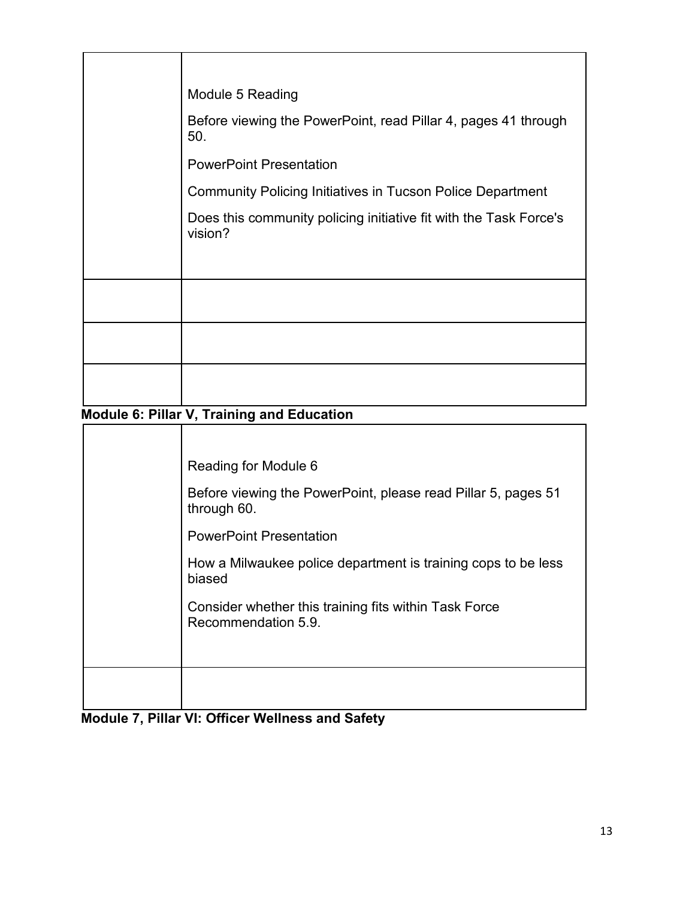| Module 5 Reading                                                             |
|------------------------------------------------------------------------------|
| Before viewing the PowerPoint, read Pillar 4, pages 41 through<br>50.        |
| <b>PowerPoint Presentation</b>                                               |
| <b>Community Policing Initiatives in Tucson Police Department</b>            |
| Does this community policing initiative fit with the Task Force's<br>vision? |
|                                                                              |
|                                                                              |
|                                                                              |
|                                                                              |

# **Module 6: Pillar V, Training and Education**

| Reading for Module 6                                                         |
|------------------------------------------------------------------------------|
| Before viewing the PowerPoint, please read Pillar 5, pages 51<br>through 60. |
| <b>PowerPoint Presentation</b>                                               |
| How a Milwaukee police department is training cops to be less<br>biased      |
| Consider whether this training fits within Task Force<br>Recommendation 5.9. |
|                                                                              |
|                                                                              |
|                                                                              |

|  |  |  |  | <b>Module 7, Pillar VI: Officer Wellness and Safety</b> |  |  |
|--|--|--|--|---------------------------------------------------------|--|--|
|--|--|--|--|---------------------------------------------------------|--|--|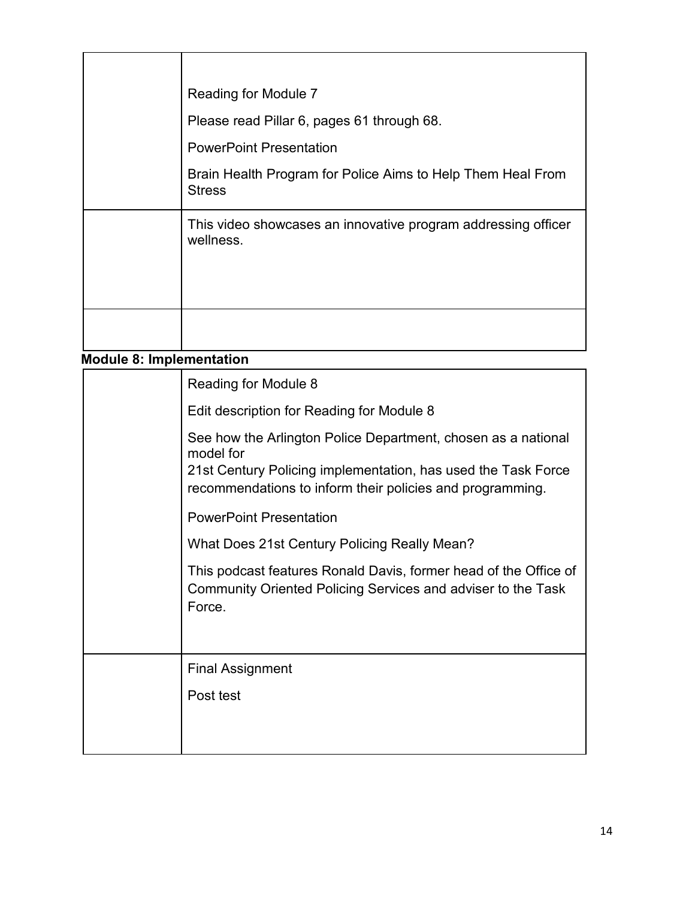| Reading for Module 7                                                         |
|------------------------------------------------------------------------------|
| Please read Pillar 6, pages 61 through 68.                                   |
| <b>PowerPoint Presentation</b>                                               |
| Brain Health Program for Police Aims to Help Them Heal From<br><b>Stress</b> |
| This video showcases an innovative program addressing officer<br>wellness.   |
|                                                                              |

**Module 8: Implementation**

| Reading for Module 8                                                                                                                                                                                     |
|----------------------------------------------------------------------------------------------------------------------------------------------------------------------------------------------------------|
| Edit description for Reading for Module 8                                                                                                                                                                |
| See how the Arlington Police Department, chosen as a national<br>model for<br>21st Century Policing implementation, has used the Task Force<br>recommendations to inform their policies and programming. |
| <b>PowerPoint Presentation</b>                                                                                                                                                                           |
| What Does 21st Century Policing Really Mean?                                                                                                                                                             |
| This podcast features Ronald Davis, former head of the Office of<br>Community Oriented Policing Services and adviser to the Task<br>Force.                                                               |
|                                                                                                                                                                                                          |
| <b>Final Assignment</b>                                                                                                                                                                                  |
| Post test                                                                                                                                                                                                |
|                                                                                                                                                                                                          |